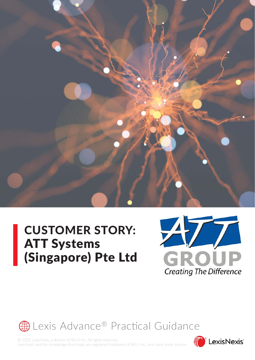

# CUSTOMER STORY: ATT Systems (Singapore) Pte Ltd





© 2022 LexisNexis, a division of RELX Inc. All rights reserved. LexisNexis and the Knowledge Burst logo are registered tradmarks of RELX Inc., and used under licence.

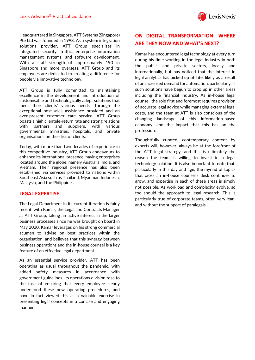

Headquartered in Singapore, ATT Systems (Singapore) Pte Ltd was founded in 1998. As a system integration solutions provider, ATT Group specialises in integrated security, traffic, enterprise information management systems, and software development. With a staff strength of approximately 190 in Singapore and more overseas, ATT Group and its employees are dedicated to creating a difference for people via innovative technology.

ATT Group is fully committed to maintaining excellence in the development and introduction of customisable and technologically adept solutions that meet their clients' various needs. Through the exceptional post-sales assistance provided and an ever-present customer care service, ATT Group boasts a high clientele-return rate and strong relations with partners and suppliers, with various governmental ministries, hospitals, and private organisations on their list of clients.

Today, with more than two decades of experience in this competitive industry, ATT Group endeavours to enhance its international presence, having enterprises located around the globe, namely Australia, India, and Vietnam. Their regional presence has also been established via services provided to nations within Southeast Asia such as Thailand, Myanmar, Indonesia, Malaysia, and the Philippines.

#### **LEGAL EXPERTISE**

The Legal Department in its current iteration is fairly recent, with Kamar, the Legal and Contracts Manager at ATT Group, taking an active interest in the larger business processes since he was brought on board in May 2020. Kamar leverages on his strong commercial acumen to advise on best practices within the organisation, and believes that this synergy between business operations and the in-house counsel is a key feature of an effective legal department.

As an essential service provider, ATT has been operating as usual throughout the pandemic, with added safety measures in accordance with government guidelines. Its operations division rose to the task of ensuring that every employee clearly understood these new operating procedures, and have in fact viewed this as a valuable exercise in presenting legal concepts in a concise and engaging manner.

# **ON DIGITAL TRANSFORMATION: WHERE ARE THEY NOW AND WHAT'S NEXT?**

Kamar has encountered legal technology at every turn during his time working in the legal industry in both the public and private sectors, locally and internationally, but has noticed that the interest in legal analytics has picked up of late, likely as a result of an increased demand for automation, particularly as such solutions have begun to crop up in other areas including the financial industry. As in-house legal counsel, the role first and foremost requires provision of accurate legal advice while managing external legal costs, and the team at ATT is also conscious of the changing landscape of this information-based economy, and the impact that this has on the profession.

Thoughtfully curated, contemporary content by experts will, however, always be at the forefront of the ATT legal strategy, and this is ultimately the reason the team is willing to invest in a legal technology solution. It is also important to note that, particularly in this day and age, the myriad of topics that cross an in-house counsel's desk continues to grow, and expertise in each of these areas is simply not possible. As workload and complexity evolve, so too should the approach to legal research. This is particularly true of corporate teams, often very lean, and without the support of paralegals.